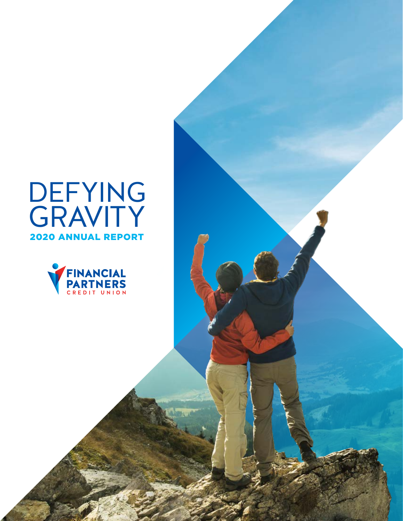## DEFYING **GRAVITY** 2020 ANNUAL REPORT

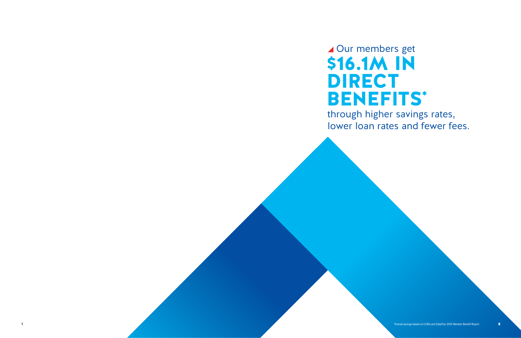▲ Our members get \$16.1M IN DIRECT BENEFITS\*

# through higher savings rates, lower loan rates and fewer fees.

1 **1 Annual savings based on CUNA and DataTrac 2020 Member Benefit Report.** 2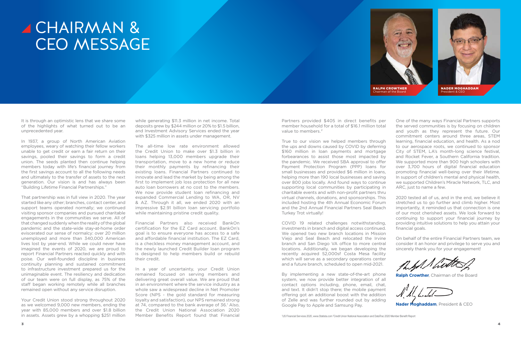It is through an optimistic lens that we share some of the highlights of what turned out to be an unprecedented year.

In 1937, a group of North American Aviation employees, weary of watching their fellow workers unable to get credit or earn a fair return on their savings, pooled their savings to form a credit union. The seeds planted then continue helping members today with life's financial journey from the first savings account to all the following needs and ultimately to the transfer of assets to the next generation. Our vision is and has always been "Building Lifetime Financial Partnerships."

That partnership was in full view in 2020. The year started like any other; branches, contact center, and support teams operated normally; we continued visiting sponsor companies and pursued charitable engagements in the communities we serve. All of that changed suddenly when the reality of the global pandemic and the state-wide stay-at-home order eviscerated our sense of normalcy: over 20 million unemployed and more than 340,000 American lives lost by year-end. While we could never have imagined the events of 2020, we are proud to report Financial Partners reacted quickly and with poise. Our well-founded discipline in business continuity planning and sustained commitment to infrastructure investment prepared us for the unimaginable event. The resiliency and dedication of our team were on full display, as 75% of the staff began working remotely while all branches remained open without any service disruption.

Your Credit Union stood strong throughout 2020 as we welcomed 9,000 new members, ending the year with 85,000 members and over \$1.8 billion in assets. Assets grew by a whopping \$251 million

# A CHAIRMAN & CEO MESSAGE

while generating \$11.3 million in net income. Total deposits grew by \$244 million or 20% to \$1.5 billion, and Investment Advisory Services ended the year with \$325 million in assets under management.

The all-time low rate environment allowed the Credit Union to make over \$1.3 billion in loans helping 13,000 members upgrade their transportation, move to a new home or reduce their monthly payments by refinancing their existing loans. Financial Partners continued to innovate and lead the market by being among the first to implement job loss protection for all new auto loan borrowers at no cost to the members. We now provide student loan refinancing and expanded Commercial Lending to WA, OR, NV & AZ. Through it all, we ended 2020 with an impressive \$2.91 billion loan servicing portfolio while maintaining pristine credit quality.

Financial Partners also received BankOn certification for the EZ Card account. BankOn's goal is to ensure everyone has access to a safe and affordable financial institution. The EZ Card, is a checkless money management account, and the newly launched Credit Builder loan program is designed to help members build or rebuild their credit.

In a year of uncertainty, your Credit Union remained focused on serving members and delivering great overall value. We are proud that in an environment where the service industry as a whole saw a widespread decline in Net Promoter Score (NPS - the gold standard for measuring loyalty and satisfaction), our NPS remained strong at 74, compared to the bank average of 36.<sup>1</sup> Also, the Credit Union National Association 2020 Member Benefits Report found that Financial

We opened two new branch locations in Mission Viejo and Seal Beach and relocated the Irvine branch and San Diego VA office to more central locations. Additionally, we began developing the recently acquired 52,000sf Costa Mesa facility which will serve as a secondary operations center and a future branch, scheduled to open mid-2021.

Partners provided \$405 in direct benefits per member household for a total of \$16.1 million total value to members.<sup>2</sup> True to our vision we helped members through the ups and downs caused by COVID by deferring \$160 million in loan payments and mortgage forbearances to assist those most impacted by the pandemic. We received SBA approval to offer Payment Protection Program (PPP) loans for small businesses and provided \$6 million in loans, helping more than 190 local businesses and saving over 800 jobs locally. And found ways to continue supporting local communities by participating in One of the many ways Financial Partners supports the served communities is by focusing on children and youth as they represent the future. Our commitment centers around three areas, STEM learning, financial education, and health. As a nod to our aerospace roots, we continued to sponsor City of STEM, LA's month-long science festival, and Rocket Fever, a Southern California tradition. We supported more than 900 high schoolers with over 3,700 hours of digital financial education promoting financial well-being over their lifetime. In support of children's mental and physical health, we supported Children's Miracle Network, TLC, and ARC, just to name a few.

By implementing a new state-of-the-art phone system, we now provide better integration of all contact options including, phone, email, chat, and text. It didn't stop there; the mobile payment offering got an additional boost with the addition of Zelle and was further rounded out by adding Google Pay to Apple and Samsung Pay.

<sup>1</sup>US Financial Services 2020, www.Statista.com <sup>2</sup>Credit Union National Association and DataTrac 2020 Member Benefit Report

charitable events and with non-profit partners thru virtual channels, donations, and sponsorships. This included hosting the 4th Annual Economic Forum and the 2nd Annual Financial Partners Seal Beach Turkey Trot virtually! COVID 19 related challenges notwithstanding, investments in branch and digital access continued. 2020 tested all of us, and in the end, we believe it stretched us to go further and climb higher. Most importantly, it reminded us that connection is one of our most cherished assets. We look forward to continuing to support your financial journey by providing intuitive solutions to help you attain your financial goals.

> On behalf of the entire Financial Partners team, we consider it an honor and privilege to serve you and sincerely thank you for your engagement!

**Ralph Crowther**, Chairman of the Board

**Nader Moghaddam**, President & CEO

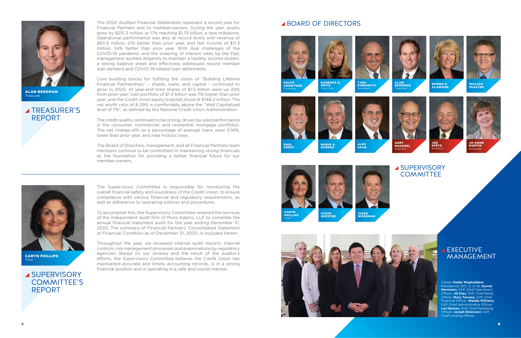GARY MACHEEL Emeritus



WILLIAM FEASTER



ALAN<br>BERGMAN Treasurer

YVES PINKOWITZ **Secretary** 



DONNA P.<br>CLAWSO<mark>N</mark>



#### **SUPERVISORY** COMMITTEE'S REPORT

The Supervisory Committee is responsible for monitoring the overall financial safety and soundness of the Credit Union, to ensure compliance with various financial and regulatory requirements, as well as adherence to operating policies and procedures.



ALAN BERGMAN **Treasurer** 

#### **TREASURER'S** REPORT

To accomplish this, the Supervisory Committee retained the services of the independent audit firm of Moss Adams, LLP to complete the annual financial statement audit for the year ending December 31, 2020. The summary of Financial Partners' Consolidated Statement of Financial Condition as of December 31, 2020, is included herein.

Throughout the year, we reviewed internal audit reports, internal controls, risk management processes and examinations by regulatory agencies. Based on our reviews and the result of the auditor's efforts, the Supervisory Committee believes the Credit Union has maintained accurate and timely accounting records, is in a strong financial position and is operating in a safe and sound manner.

The 2020 Audited Financial Statements represent a record year for Financial Partners and its member-owners. During the year, assets grew by \$251.2 million or 17% reaching \$1.75 billion, a new milestone. Operational performance was also at record levels with revenue of \$83.9 million, 21% better than prior year, and Net Income of \$11.3 million, 54% better than prior year. With dual challenges of the COVID-19 pandemic and the lowering of interest rates by the Fed, management worked diligently to maintain a healthy income stream, a strong balance sheet and effectively addressed record member loan demand and COVID-19 related loan deferments.

#### **⊿EXECUTIVE** MANAGEMENT





Core building blocks for fulfilling the vision of "Building Lifetime Financial Partnerships" – shares, loans, and capital – continued to grow in 2020. At year-end total shares of \$1.5 billion were up 20% from prior year; loan portfolio of \$1.4 billion was 7% higher than prior year; and the Credit Union equity (capital) stood at \$148.2 million. The net worth ratio of 8.29% is comfortably above the "Well Capitalized level of 7%", as defined by the National Credit Union Administration.

The credit quality continued to be strong, driven by solid performance in the consumer, commercial, and residential mortgage portfolios. The net charge-offs as a percentage of average loans were 0.16%, lower than prior year, and near historic lows.

The Board of Directors, management, and all Financial Partners team members continue to be committed to maintaining strong financials as the foundation for providing a better financial future for our member-owners.



CARYN PHILLIPS Chair

#### BOARD OF DIRECTORS

Center: **Nader Moghaddam**, President & CEO. (L to R): **Darren Herrmann**, SVP, Chief Operations Officer; **Jill Erps**, SVP, Chief Retail Officer; **Mary Torsney**, SVP, Chief Financial Officer; **Wanda Williams**, SVP, Chief Administrative Officer; **Lori Reeves**, SVP, Chief Marketing Officer; **Joseph Brancucci**, SVP, Chief Lending Officer.

Chairman



▲ SUPERVISORY **COMMITTEE** 

MARIO A. GUERRA



PAUL GEERY

VINCE WORKMAN







Chair

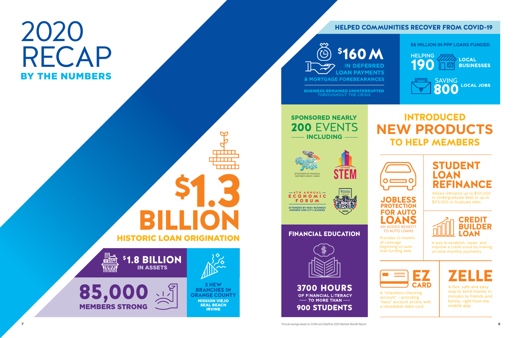7

# 2020 RECAP BY THE NUMBERS

\*Annual savings based on CUNA and DataTrac 2020 Member Benefit Report. 8

#### HELPED COMMUNITIES RECOVER FROM COVID-19

### INTRODUCED **NEW PRODUCTS** TO HELP MEMBERS



#### **\$6 MILLION IN PPP LOANS FUNDED**







\$1.8 BILLION IN ASSETS





85,000 MEMBERS STRONG



#### FINANCIAL EDUCATION



**3700 HOURS** OF FINANCIAL LITERACY  $\sim$  TO MORE THAN  $\sim$ **900 STUDENTS** 





BUSINESS REMAINED UNINTERRUPTED THROUGHOUT THE CRISIS

> CREDIT BUILDER **LOAN**

\$1.3

 $\bm \varpi$ 

**. . . . . .** i i na na i

**REBELLE** 

3 NEW BRANCHES IN ORANGE COUNTY MISSION VIEJO SEAL BEACH IRVINE

A "checkless checking account" – providing "easy" account access with a reloadable debit card.

Allows refinance up to \$125,000 in Undergraduate debt or up to \$175,000 in Graduate debt.

JOBLESS PROTECTION FOR AUTO AN ADDED BENEFIT TO AUTO LOANS

Provides 12-months of coverage beginning on auto loan funding date.

A way to establish, repair, and improve a credit score by making on-time monthly payments.





A fast, safe and easy way to send money in minutes to friends and family, right from the mobile app.





HISTORIC LOAN ORIGINATION

BILLION

#### STUDENT LOAN REFINANCE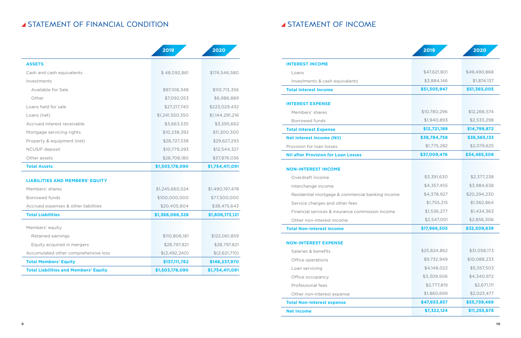#### **STATEMENT OF FINANCIAL CONDITION**

#### **STATEMENT OF INCOME**

|                                              | 2019            | 2020            |
|----------------------------------------------|-----------------|-----------------|
| <b>ASSETS</b>                                |                 |                 |
| Cash and cash equivalents                    | \$48,092,861    | \$174,546,580   |
| Investments                                  |                 |                 |
| Available for Sale                           | \$97,108,348    | \$110,713,356   |
| Other                                        | \$7,092,053     | \$6,986,889     |
| Loans held for sale                          | \$27,217,740    | \$223,029,432   |
| Loans (net)                                  | \$1,241,550,350 | \$1,144,291,216 |
| Accrued interest receivable                  | \$3,663,535     | \$3,595,662     |
| Mortgage servicing rights                    | \$10,238,392    | \$11,200,300    |
| Property & equipment (net)                   | \$28,727,338    | \$29,627,293    |
| <b>NCUSIF</b> deposit                        | \$10,779,293    | \$12,544,327    |
| Other assets                                 | \$28,708,180    | \$37,876,036    |
| <b>Total Assets</b>                          | \$1,503,178,090 | \$1,754,411,091 |
| <b>LIABILITIES AND MEMBERS' EQUITY</b>       |                 |                 |
| Members' shares                              | \$1,245,660,524 | \$1,490,197,478 |
| <b>Borrowed funds</b>                        | \$100,000,000   | \$77,500,000    |
| Accrued expenses & other liabilities         | \$20,405,804    | \$38,475,643    |
| <b>Total Liabilities</b>                     | \$1,366,066,328 | \$1,606,173,121 |
| Members' equity                              |                 |                 |
| Retained earnings                            | \$110,806,181   | \$122,061,859   |
| Equity acquired in mergers                   | \$28,797,821    | \$28,797,821    |
| Accumulated other comprehensive loss         | \$(2,492,240)   | \$(2,621,710)   |
| <b>Total Members' Equity</b>                 | \$137,111,762   | \$148,237,970   |
| <b>Total Liabilities and Members' Equity</b> | \$1,503,178,090 | \$1,754,411,091 |

| 2019           | 2020            |                                                  | 2019         | 2020         |
|----------------|-----------------|--------------------------------------------------|--------------|--------------|
|                |                 | <b>INTEREST INCOME</b>                           |              |              |
| \$48,092,861   | \$174,546,580   | Loans                                            | \$47,621,801 | \$49,490,868 |
|                |                 | Investments & cash equivalents                   | \$3,884,146  | \$1,874,137  |
| \$97,108,348   | \$110,713,356   | <b>Total Interest Income</b>                     | \$51,505,947 | \$51,365,005 |
| \$7,092,053    | \$6,986,889     |                                                  |              |              |
| \$27,217,740   | \$223,029,432   | <b>INTEREST EXPENSE</b>                          |              |              |
| 241,550,350    | \$1,144,291,216 | Members' shares                                  | \$10,780,296 | \$12,266,574 |
| \$3,663,535    | \$3,595,662     | Borrowed funds                                   | \$1,940,893  | \$2,533,298  |
| \$10,238,392   | \$11,200,300    | <b>Total Interest Expense</b>                    | \$12,721,189 | \$14,799,872 |
| \$28,727,338   | \$29,627,293    | <b>Net Interest Income (NII)</b>                 | \$38,784,758 | \$36,565,133 |
| \$10,779,293   | \$12,544,327    | Provision for loan losses                        | \$1,775,282  | \$2,079,625  |
| \$28,708,180   | \$37,876,036    | <b>NII after Provision for Loan Losses</b>       | \$37,009,476 | \$34,485,508 |
| 503,178,090    | \$1,754,411,091 | <b>NON-INTEREST INCOME</b>                       |              |              |
|                |                 | Overdraft income                                 | \$3,391,630  | \$2,377,238  |
| 245,660,524    | \$1,490,197,478 | Interchange income                               | \$4,357,455  | \$3,984,638  |
| 00,000,000     | \$77,500,000    | Residential mortgage & commercial banking income | \$4,378,927  | \$20,294,230 |
| 20,405,804     | \$38,475,643    | Service charges and other fees                   | \$1,755,215  | \$1,562,864  |
| 66,066,328     | \$1,606,173,121 | Financial services & insurance commission income | \$1,536,277  | \$1,434,363  |
|                |                 | Other non-interest income                        | \$2,547,001  | \$2,856,306  |
|                |                 | <b>Total Non-Interest income</b>                 | \$17,966,505 | \$32,509,639 |
| \$110,806,181  | \$122,061,859   |                                                  |              |              |
| \$28,797,821   | \$28,797,821    | <b>NON-INTEREST EXPENSE</b>                      |              |              |
| 5(2, 492, 240) | \$(2,621,710)   | Salaries & benefits                              | \$25,824,862 | \$31,058,173 |
| \$137,111,762  | \$148,237,970   | Office operations                                | \$9,732,949  | \$10,088,233 |
| 503,178,090    | \$1,754,411,091 | Loan servicing                                   | \$4,148,022  | \$5,557,503  |
|                |                 | Office occupancy                                 | \$3,309,506  | \$4,340,972  |
|                |                 | Professional fees                                | \$2,777,819  | \$2,671,111  |
|                |                 | Other non-interest expense                       | \$1,860,699  | \$2,023,477  |
|                |                 | <b>Total Non-Interest expense</b>                | \$47,653,857 | \$55,739,469 |
|                |                 | <b>Net Income</b>                                | \$7,322,124  | \$11,255,678 |